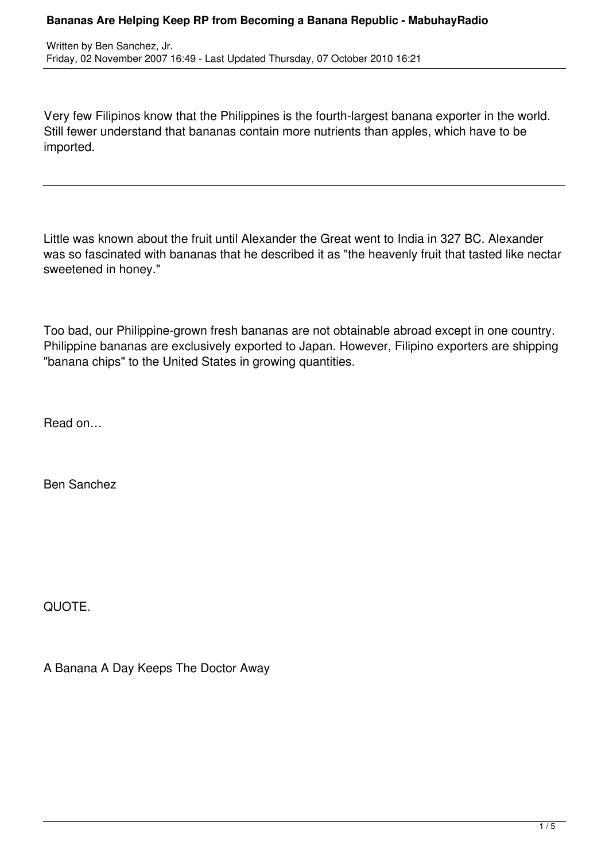Very few Filipinos know that the Philippines is the fourth-largest banana exporter in the world. Still fewer understand that bananas contain more nutrients than apples, which have to be imported.

Little was known about the fruit until Alexander the Great went to India in 327 BC. Alexander was so fascinated with bananas that he described it as "the heavenly fruit that tasted like nectar sweetened in honey."

Too bad, our Philippine-grown fresh bananas are not obtainable abroad except in one country. Philippine bananas are exclusively exported to Japan. However, Filipino exporters are shipping "banana chips" to the United States in growing quantities.

Read on…

Ben Sanchez

QUOTE.

A Banana A Day Keeps The Doctor Away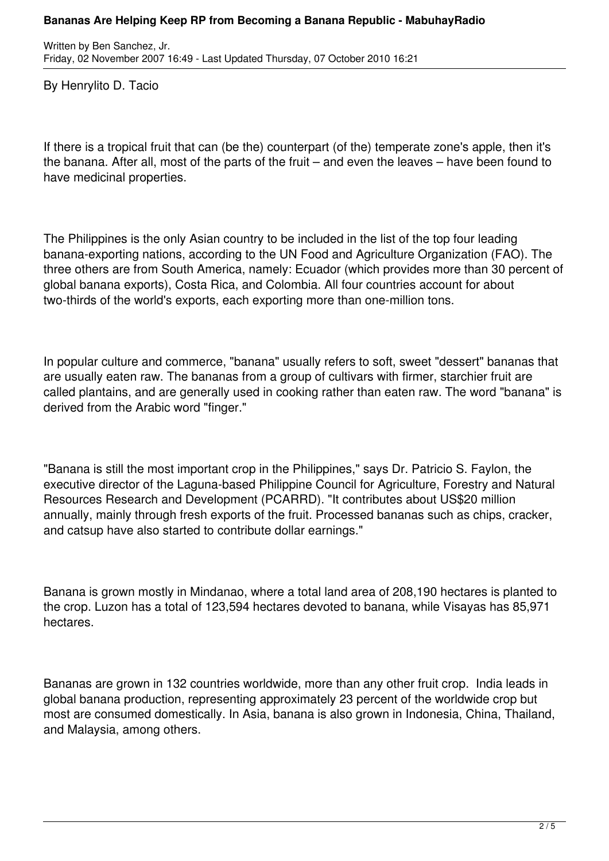Written by Ben Sanchez, Jr. Friday, 02 November 2007 16:49 - Last Updated Thursday, 07 October 2010 16:21

By Henrylito D. Tacio

If there is a tropical fruit that can (be the) counterpart (of the) temperate zone's apple, then it's the banana. After all, most of the parts of the fruit – and even the leaves – have been found to have medicinal properties.

The Philippines is the only Asian country to be included in the list of the top four leading banana-exporting nations, according to the UN Food and Agriculture Organization (FAO). The three others are from South America, namely: Ecuador (which provides more than 30 percent of global banana exports), Costa Rica, and Colombia. All four countries account for about two-thirds of the world's exports, each exporting more than one-million tons.

In popular culture and commerce, "banana" usually refers to soft, sweet "dessert" bananas that are usually eaten raw. The bananas from a group of cultivars with firmer, starchier fruit are called plantains, and are generally used in cooking rather than eaten raw. The word "banana" is derived from the Arabic word "finger."

"Banana is still the most important crop in the Philippines," says Dr. Patricio S. Faylon, the executive director of the Laguna-based Philippine Council for Agriculture, Forestry and Natural Resources Research and Development (PCARRD). "It contributes about US\$20 million annually, mainly through fresh exports of the fruit. Processed bananas such as chips, cracker, and catsup have also started to contribute dollar earnings."

Banana is grown mostly in Mindanao, where a total land area of 208,190 hectares is planted to the crop. Luzon has a total of 123,594 hectares devoted to banana, while Visayas has 85,971 hectares.

Bananas are grown in 132 countries worldwide, more than any other fruit crop. India leads in global banana production, representing approximately 23 percent of the worldwide crop but most are consumed domestically. In Asia, banana is also grown in Indonesia, China, Thailand, and Malaysia, among others.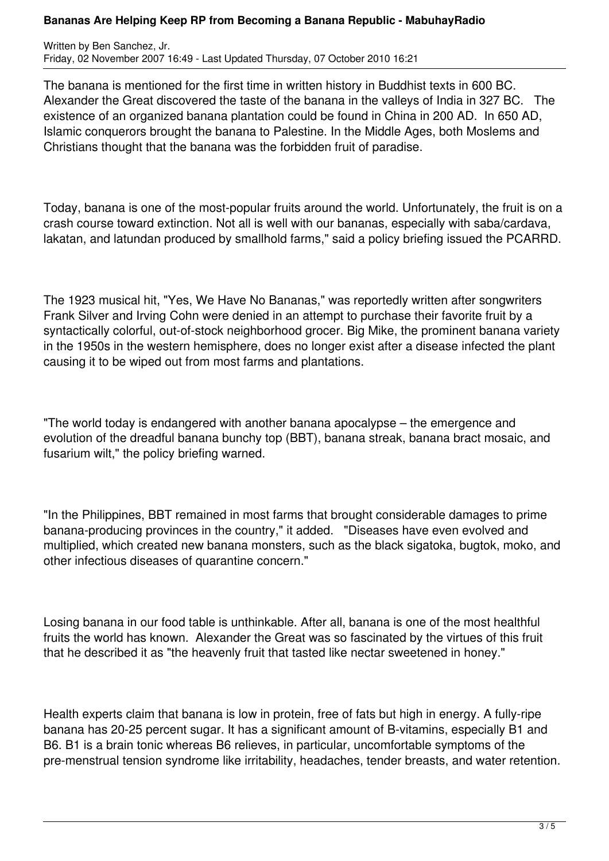## **Bananas Are Helping Keep RP from Becoming a Banana Republic - MabuhayRadio**

Written by Ben Sanchez, Jr. Friday, 02 November 2007 16:49 - Last Updated Thursday, 07 October 2010 16:21

The banana is mentioned for the first time in written history in Buddhist texts in 600 BC. Alexander the Great discovered the taste of the banana in the valleys of India in 327 BC. The existence of an organized banana plantation could be found in China in 200 AD. In 650 AD, Islamic conquerors brought the banana to Palestine. In the Middle Ages, both Moslems and Christians thought that the banana was the forbidden fruit of paradise.

Today, banana is one of the most-popular fruits around the world. Unfortunately, the fruit is on a crash course toward extinction. Not all is well with our bananas, especially with saba/cardava, lakatan, and latundan produced by smallhold farms," said a policy briefing issued the PCARRD.

The 1923 musical hit, "Yes, We Have No Bananas," was reportedly written after songwriters Frank Silver and Irving Cohn were denied in an attempt to purchase their favorite fruit by a syntactically colorful, out-of-stock neighborhood grocer. Big Mike, the prominent banana variety in the 1950s in the western hemisphere, does no longer exist after a disease infected the plant causing it to be wiped out from most farms and plantations.

"The world today is endangered with another banana apocalypse – the emergence and evolution of the dreadful banana bunchy top (BBT), banana streak, banana bract mosaic, and fusarium wilt," the policy briefing warned.

"In the Philippines, BBT remained in most farms that brought considerable damages to prime banana-producing provinces in the country," it added. "Diseases have even evolved and multiplied, which created new banana monsters, such as the black sigatoka, bugtok, moko, and other infectious diseases of quarantine concern."

Losing banana in our food table is unthinkable. After all, banana is one of the most healthful fruits the world has known. Alexander the Great was so fascinated by the virtues of this fruit that he described it as "the heavenly fruit that tasted like nectar sweetened in honey."

Health experts claim that banana is low in protein, free of fats but high in energy. A fully-ripe banana has 20-25 percent sugar. It has a significant amount of B-vitamins, especially B1 and B6. B1 is a brain tonic whereas B6 relieves, in particular, uncomfortable symptoms of the pre-menstrual tension syndrome like irritability, headaches, tender breasts, and water retention.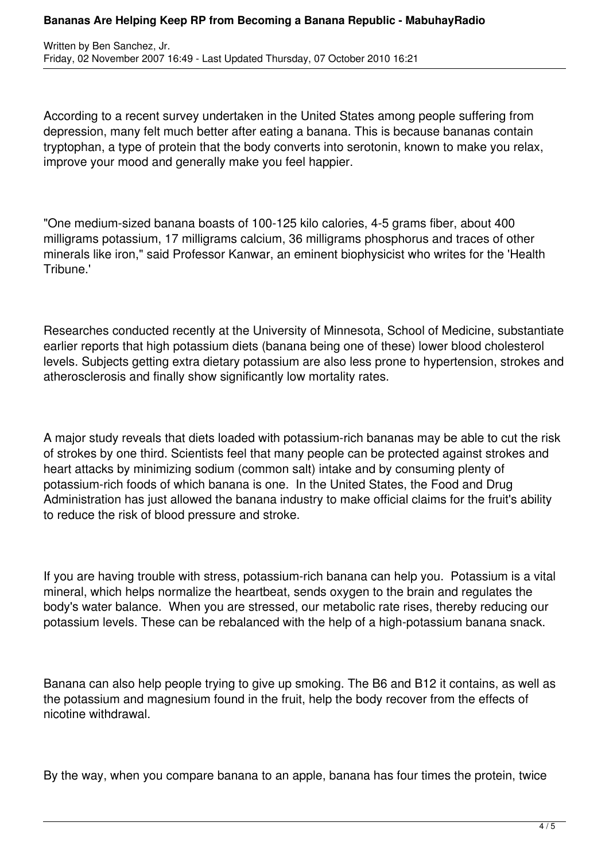## **Bananas Are Helping Keep RP from Becoming a Banana Republic - MabuhayRadio**

According to a recent survey undertaken in the United States among people suffering from depression, many felt much better after eating a banana. This is because bananas contain tryptophan, a type of protein that the body converts into serotonin, known to make you relax, improve your mood and generally make you feel happier.

"One medium-sized banana boasts of 100-125 kilo calories, 4-5 grams fiber, about 400 milligrams potassium, 17 milligrams calcium, 36 milligrams phosphorus and traces of other minerals like iron," said Professor Kanwar, an eminent biophysicist who writes for the 'Health Tribune.'

Researches conducted recently at the University of Minnesota, School of Medicine, substantiate earlier reports that high potassium diets (banana being one of these) lower blood cholesterol levels. Subjects getting extra dietary potassium are also less prone to hypertension, strokes and atherosclerosis and finally show significantly low mortality rates.

A major study reveals that diets loaded with potassium-rich bananas may be able to cut the risk of strokes by one third. Scientists feel that many people can be protected against strokes and heart attacks by minimizing sodium (common salt) intake and by consuming plenty of potassium-rich foods of which banana is one. In the United States, the Food and Drug Administration has just allowed the banana industry to make official claims for the fruit's ability to reduce the risk of blood pressure and stroke.

If you are having trouble with stress, potassium-rich banana can help you. Potassium is a vital mineral, which helps normalize the heartbeat, sends oxygen to the brain and regulates the body's water balance. When you are stressed, our metabolic rate rises, thereby reducing our potassium levels. These can be rebalanced with the help of a high-potassium banana snack.

Banana can also help people trying to give up smoking. The B6 and B12 it contains, as well as the potassium and magnesium found in the fruit, help the body recover from the effects of nicotine withdrawal.

By the way, when you compare banana to an apple, banana has four times the protein, twice